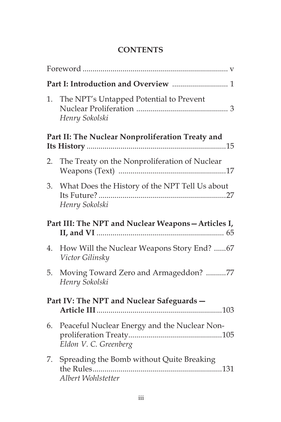## **CONTENTS**

| 1.                                                | The NPT's Untapped Potential to Prevent<br>Henry Sokolski             |  |
|---------------------------------------------------|-----------------------------------------------------------------------|--|
| Part II: The Nuclear Nonproliferation Treaty and  |                                                                       |  |
| 2.                                                | The Treaty on the Nonproliferation of Nuclear                         |  |
|                                                   | 3. What Does the History of the NPT Tell Us about<br>Henry Sokolski   |  |
| Part III: The NPT and Nuclear Weapons-Articles I, |                                                                       |  |
| 4.                                                | How Will the Nuclear Weapons Story End? 67<br>Victor Gilinsky         |  |
| 5.                                                | Moving Toward Zero and Armageddon? 77<br>Henry Sokolski               |  |
| Part IV: The NPT and Nuclear Safeguards -         |                                                                       |  |
| 6.                                                | Peaceful Nuclear Energy and the Nuclear Non-<br>Eldon V. C. Greenberg |  |
| 7.                                                | Spreading the Bomb without Quite Breaking<br>Albert Wohlstetter       |  |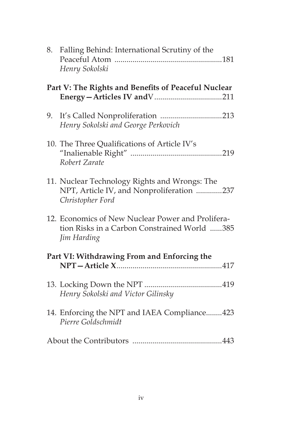|                                             | 8. Falling Behind: International Scrutiny of the<br>Henry Sokolski                                               |
|---------------------------------------------|------------------------------------------------------------------------------------------------------------------|
|                                             | Part V: The Rights and Benefits of Peaceful Nuclear                                                              |
| 9.                                          | Henry Sokolski and George Perkovich                                                                              |
|                                             | 10. The Three Qualifications of Article IV's<br>Robert Zarate                                                    |
|                                             | 11. Nuclear Technology Rights and Wrongs: The<br>NPT, Article IV, and Nonproliferation 237<br>Christopher Ford   |
|                                             | 12. Economics of New Nuclear Power and Prolifera-<br>tion Risks in a Carbon Constrained World 385<br>Jim Harding |
| Part VI: Withdrawing From and Enforcing the |                                                                                                                  |
|                                             | Henry Sokolski and Victor Gilinsky                                                                               |
|                                             | 14. Enforcing the NPT and IAEA Compliance423<br>Pierre Goldschmidt                                               |
|                                             |                                                                                                                  |